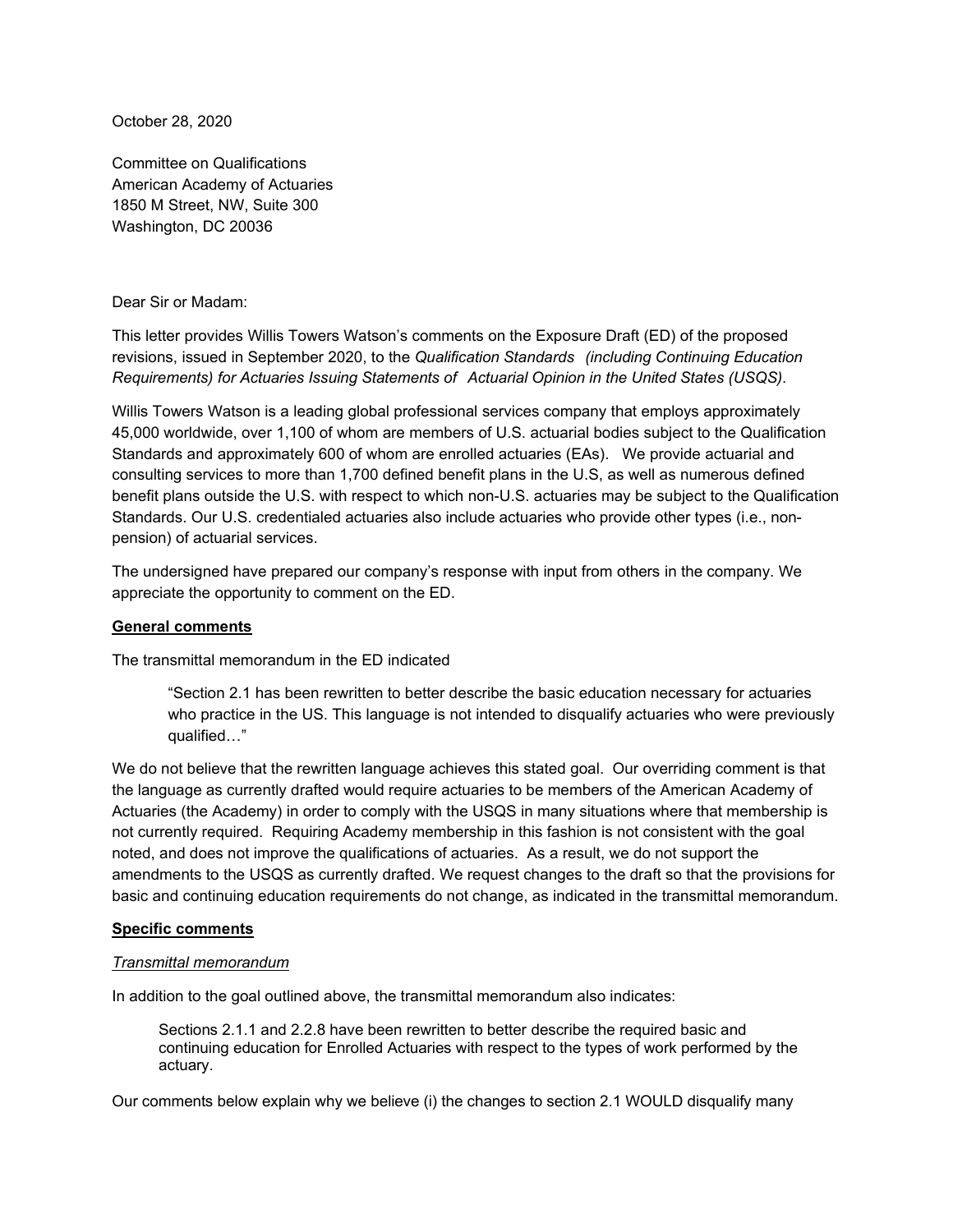October 28, 2020

Committee on Qualifications American Academy of Actuaries 1850 M Street, NW, Suite 300 Washington, DC 20036

# Dear Sir or Madam:

This letter provides Willis Towers Watson's comments on the Exposure Draft (ED) of the proposed revisions, issued in September 2020, to the *Qualification Standards (including Continuing Education Requirements) for Actuaries Issuing Statements of Actuarial Opinion in the United States (USQS)*.

Willis Towers Watson is a leading global professional services company that employs approximately 45,000 worldwide, over 1,100 of whom are members of U.S. actuarial bodies subject to the Qualification Standards and approximately 600 of whom are enrolled actuaries (EAs). We provide actuarial and consulting services to more than 1,700 defined benefit plans in the U.S, as well as numerous defined benefit plans outside the U.S. with respect to which non-U.S. actuaries may be subject to the Qualification Standards. Our U.S. credentialed actuaries also include actuaries who provide other types (i.e., nonpension) of actuarial services.

The undersigned have prepared our company's response with input from others in the company. We appreciate the opportunity to comment on the ED.

#### **General comments**

The transmittal memorandum in the ED indicated

"Section 2.1 has been rewritten to better describe the basic education necessary for actuaries who practice in the US. This language is not intended to disqualify actuaries who were previously qualified…"

We do not believe that the rewritten language achieves this stated goal. Our overriding comment is that the language as currently drafted would require actuaries to be members of the American Academy of Actuaries (the Academy) in order to comply with the USQS in many situations where that membership is not currently required. Requiring Academy membership in this fashion is not consistent with the goal noted, and does not improve the qualifications of actuaries. As a result, we do not support the amendments to the USQS as currently drafted. We request changes to the draft so that the provisions for basic and continuing education requirements do not change, as indicated in the transmittal memorandum.

#### **Specific comments**

#### *Transmittal memorandum*

In addition to the goal outlined above, the transmittal memorandum also indicates:

Sections 2.1.1 and 2.2.8 have been rewritten to better describe the required basic and continuing education for Enrolled Actuaries with respect to the types of work performed by the actuary.

Our comments below explain why we believe (i) the changes to section 2.1 WOULD disqualify many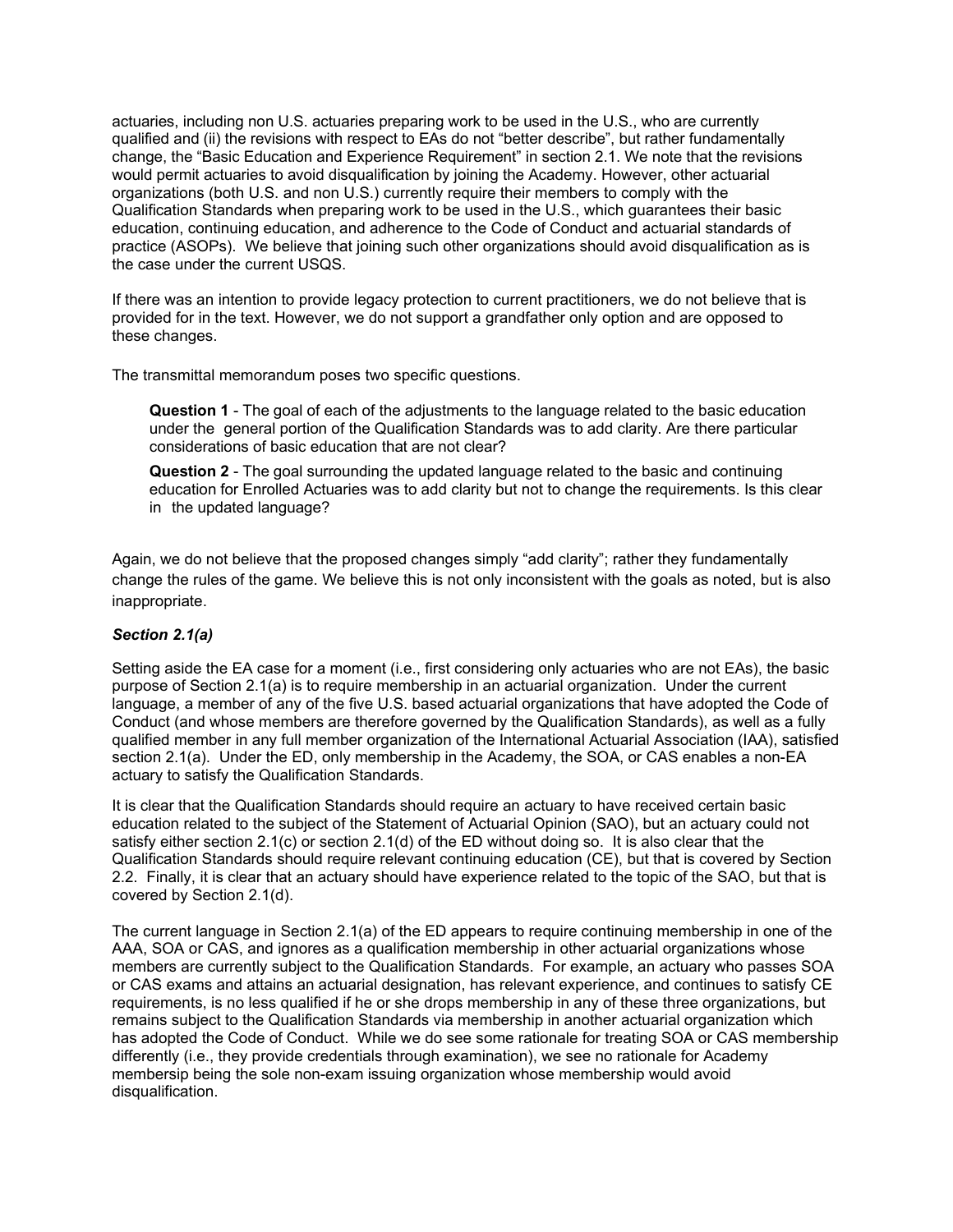actuaries, including non U.S. actuaries preparing work to be used in the U.S., who are currently qualified and (ii) the revisions with respect to EAs do not "better describe", but rather fundamentally change, the "Basic Education and Experience Requirement" in section 2.1. We note that the revisions would permit actuaries to avoid disqualification by joining the Academy. However, other actuarial organizations (both U.S. and non U.S.) currently require their members to comply with the Qualification Standards when preparing work to be used in the U.S., which guarantees their basic education, continuing education, and adherence to the Code of Conduct and actuarial standards of practice (ASOPs). We believe that joining such other organizations should avoid disqualification as is the case under the current USQS.

If there was an intention to provide legacy protection to current practitioners, we do not believe that is provided for in the text. However, we do not support a grandfather only option and are opposed to these changes.

The transmittal memorandum poses two specific questions.

**Question 1** - The goal of each of the adjustments to the language related to the basic education under the general portion of the Qualification Standards was to add clarity. Are there particular considerations of basic education that are not clear?

**Question 2** - The goal surrounding the updated language related to the basic and continuing education for Enrolled Actuaries was to add clarity but not to change the requirements. Is this clear in the updated language?

Again, we do not believe that the proposed changes simply "add clarity"; rather they fundamentally change the rules of the game. We believe this is not only inconsistent with the goals as noted, but is also inappropriate.

## *Section 2.1(a)*

Setting aside the EA case for a moment (i.e., first considering only actuaries who are not EAs), the basic purpose of Section 2.1(a) is to require membership in an actuarial organization. Under the current language, a member of any of the five U.S. based actuarial organizations that have adopted the Code of Conduct (and whose members are therefore governed by the Qualification Standards), as well as a fully qualified member in any full member organization of the International Actuarial Association (IAA), satisfied section 2.1(a). Under the ED, only membership in the Academy, the SOA, or CAS enables a non-EA actuary to satisfy the Qualification Standards.

It is clear that the Qualification Standards should require an actuary to have received certain basic education related to the subject of the Statement of Actuarial Opinion (SAO), but an actuary could not satisfy either section 2.1(c) or section 2.1(d) of the ED without doing so. It is also clear that the Qualification Standards should require relevant continuing education (CE), but that is covered by Section 2.2. Finally, it is clear that an actuary should have experience related to the topic of the SAO, but that is covered by Section 2.1(d).

The current language in Section 2.1(a) of the ED appears to require continuing membership in one of the AAA, SOA or CAS, and ignores as a qualification membership in other actuarial organizations whose members are currently subject to the Qualification Standards. For example, an actuary who passes SOA or CAS exams and attains an actuarial designation, has relevant experience, and continues to satisfy CE requirements, is no less qualified if he or she drops membership in any of these three organizations, but remains subject to the Qualification Standards via membership in another actuarial organization which has adopted the Code of Conduct. While we do see some rationale for treating SOA or CAS membership differently (i.e., they provide credentials through examination), we see no rationale for Academy membersip being the sole non-exam issuing organization whose membership would avoid disqualification.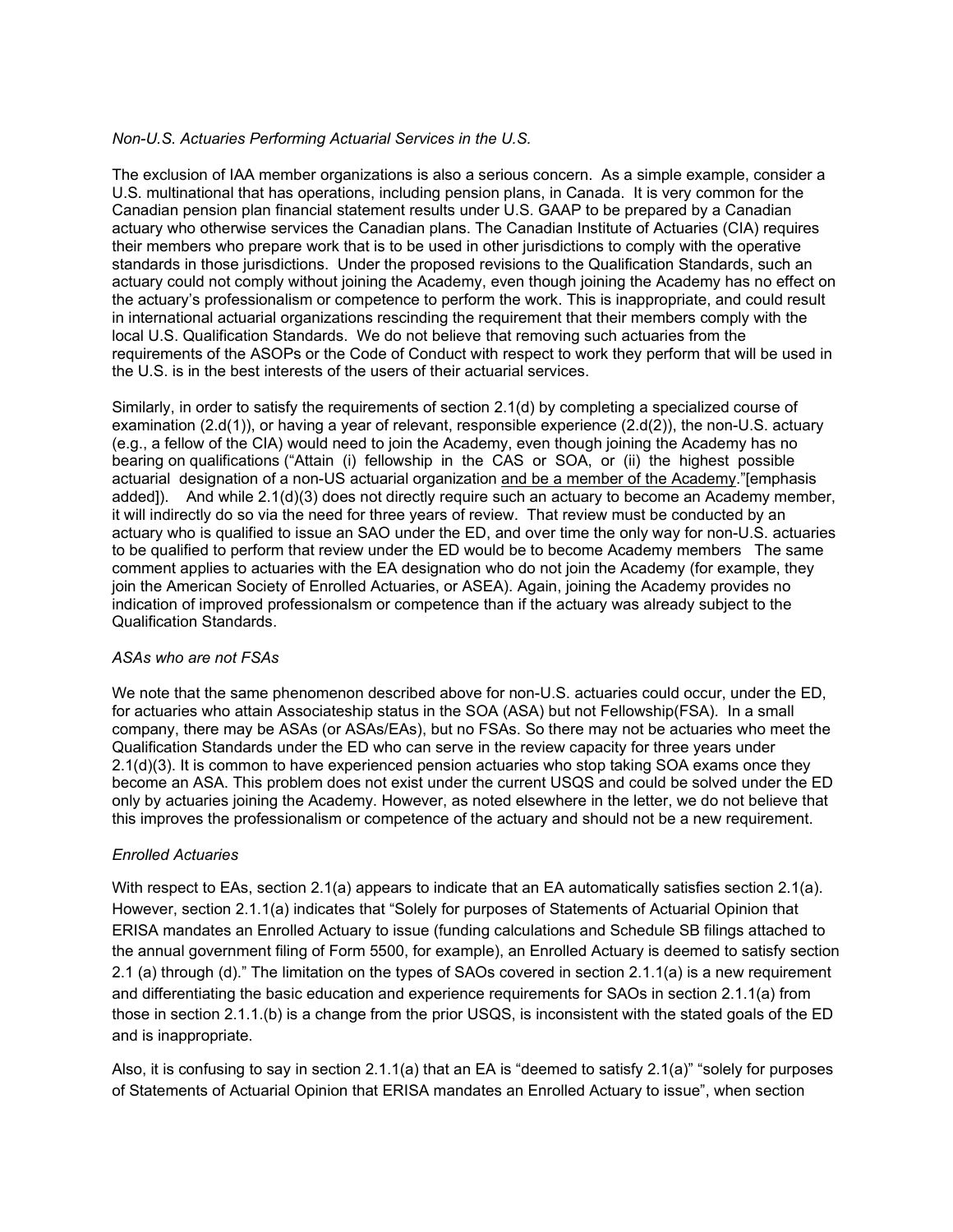### *Non-U.S. Actuaries Performing Actuarial Services in the U.S.*

The exclusion of IAA member organizations is also a serious concern. As a simple example, consider a U.S. multinational that has operations, including pension plans, in Canada. It is very common for the Canadian pension plan financial statement results under U.S. GAAP to be prepared by a Canadian actuary who otherwise services the Canadian plans. The Canadian Institute of Actuaries (CIA) requires their members who prepare work that is to be used in other jurisdictions to comply with the operative standards in those jurisdictions. Under the proposed revisions to the Qualification Standards, such an actuary could not comply without joining the Academy, even though joining the Academy has no effect on the actuary's professionalism or competence to perform the work. This is inappropriate, and could result in international actuarial organizations rescinding the requirement that their members comply with the local U.S. Qualification Standards. We do not believe that removing such actuaries from the requirements of the ASOPs or the Code of Conduct with respect to work they perform that will be used in the U.S. is in the best interests of the users of their actuarial services.

Similarly, in order to satisfy the requirements of section 2.1(d) by completing a specialized course of examination (2.d(1)), or having a year of relevant, responsible experience (2.d(2)), the non-U.S. actuary (e.g., a fellow of the CIA) would need to join the Academy, even though joining the Academy has no bearing on qualifications ("Attain (i) fellowship in the CAS or SOA, or (ii) the highest possible actuarial designation of a non-US actuarial organization and be a member of the Academy."[emphasis added]). And while 2.1(d)(3) does not directly require such an actuary to become an Academy member, it will indirectly do so via the need for three years of review. That review must be conducted by an actuary who is qualified to issue an SAO under the ED, and over time the only way for non-U.S. actuaries to be qualified to perform that review under the ED would be to become Academy members The same comment applies to actuaries with the EA designation who do not join the Academy (for example, they join the American Society of Enrolled Actuaries, or ASEA). Again, joining the Academy provides no indication of improved professionalsm or competence than if the actuary was already subject to the Qualification Standards.

#### *ASAs who are not FSAs*

We note that the same phenomenon described above for non-U.S. actuaries could occur, under the ED, for actuaries who attain Associateship status in the SOA (ASA) but not Fellowship(FSA). In a small company, there may be ASAs (or ASAs/EAs), but no FSAs. So there may not be actuaries who meet the Qualification Standards under the ED who can serve in the review capacity for three years under 2.1(d)(3). It is common to have experienced pension actuaries who stop taking SOA exams once they become an ASA. This problem does not exist under the current USQS and could be solved under the ED only by actuaries joining the Academy. However, as noted elsewhere in the letter, we do not believe that this improves the professionalism or competence of the actuary and should not be a new requirement.

## *Enrolled Actuaries*

With respect to EAs, section 2.1(a) appears to indicate that an EA automatically satisfies section 2.1(a). However, section 2.1.1(a) indicates that "Solely for purposes of Statements of Actuarial Opinion that ERISA mandates an Enrolled Actuary to issue (funding calculations and Schedule SB filings attached to the annual government filing of Form 5500, for example), an Enrolled Actuary is deemed to satisfy section 2.1 (a) through (d)." The limitation on the types of SAOs covered in section 2.1.1(a) is a new requirement and differentiating the basic education and experience requirements for SAOs in section 2.1.1(a) from those in section 2.1.1.(b) is a change from the prior USQS, is inconsistent with the stated goals of the ED and is inappropriate.

Also, it is confusing to say in section 2.1.1(a) that an EA is "deemed to satisfy 2.1(a)" "solely for purposes of Statements of Actuarial Opinion that ERISA mandates an Enrolled Actuary to issue", when section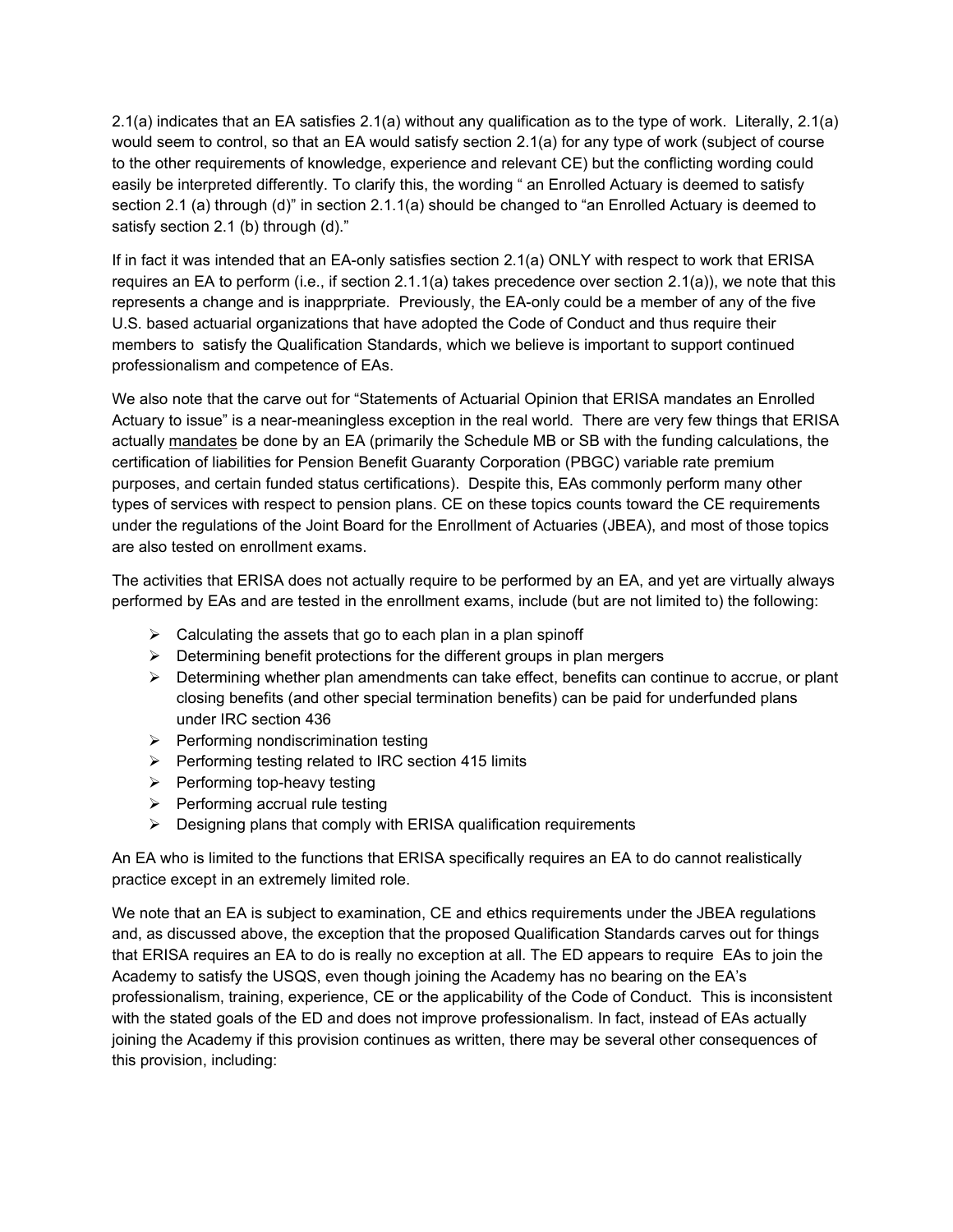2.1(a) indicates that an EA satisfies 2.1(a) without any qualification as to the type of work. Literally, 2.1(a) would seem to control, so that an EA would satisfy section 2.1(a) for any type of work (subject of course to the other requirements of knowledge, experience and relevant CE) but the conflicting wording could easily be interpreted differently. To clarify this, the wording " an Enrolled Actuary is deemed to satisfy section 2.1 (a) through (d)" in section 2.1.1(a) should be changed to "an Enrolled Actuary is deemed to satisfy section 2.1 (b) through (d)."

If in fact it was intended that an EA-only satisfies section 2.1(a) ONLY with respect to work that ERISA requires an EA to perform (i.e., if section 2.1.1(a) takes precedence over section 2.1(a)), we note that this represents a change and is inapprpriate. Previously, the EA-only could be a member of any of the five U.S. based actuarial organizations that have adopted the Code of Conduct and thus require their members to satisfy the Qualification Standards, which we believe is important to support continued professionalism and competence of EAs.

We also note that the carve out for "Statements of Actuarial Opinion that ERISA mandates an Enrolled Actuary to issue" is a near-meaningless exception in the real world. There are very few things that ERISA actually mandates be done by an EA (primarily the Schedule MB or SB with the funding calculations, the certification of liabilities for Pension Benefit Guaranty Corporation (PBGC) variable rate premium purposes, and certain funded status certifications). Despite this, EAs commonly perform many other types of services with respect to pension plans. CE on these topics counts toward the CE requirements under the regulations of the Joint Board for the Enrollment of Actuaries (JBEA), and most of those topics are also tested on enrollment exams.

The activities that ERISA does not actually require to be performed by an EA, and yet are virtually always performed by EAs and are tested in the enrollment exams, include (but are not limited to) the following:

- $\triangleright$  Calculating the assets that go to each plan in a plan spinoff
- $\triangleright$  Determining benefit protections for the different groups in plan mergers
- $\triangleright$  Determining whether plan amendments can take effect, benefits can continue to accrue, or plant closing benefits (and other special termination benefits) can be paid for underfunded plans under IRC section 436
- $\triangleright$  Performing nondiscrimination testing
- $\triangleright$  Performing testing related to IRC section 415 limits
- $\triangleright$  Performing top-heavy testing
- $\triangleright$  Performing accrual rule testing
- $\triangleright$  Designing plans that comply with ERISA qualification requirements

An EA who is limited to the functions that ERISA specifically requires an EA to do cannot realistically practice except in an extremely limited role.

We note that an EA is subject to examination, CE and ethics requirements under the JBEA regulations and, as discussed above, the exception that the proposed Qualification Standards carves out for things that ERISA requires an EA to do is really no exception at all. The ED appears to require EAs to join the Academy to satisfy the USQS, even though joining the Academy has no bearing on the EA's professionalism, training, experience, CE or the applicability of the Code of Conduct. This is inconsistent with the stated goals of the ED and does not improve professionalism. In fact, instead of EAs actually joining the Academy if this provision continues as written, there may be several other consequences of this provision, including: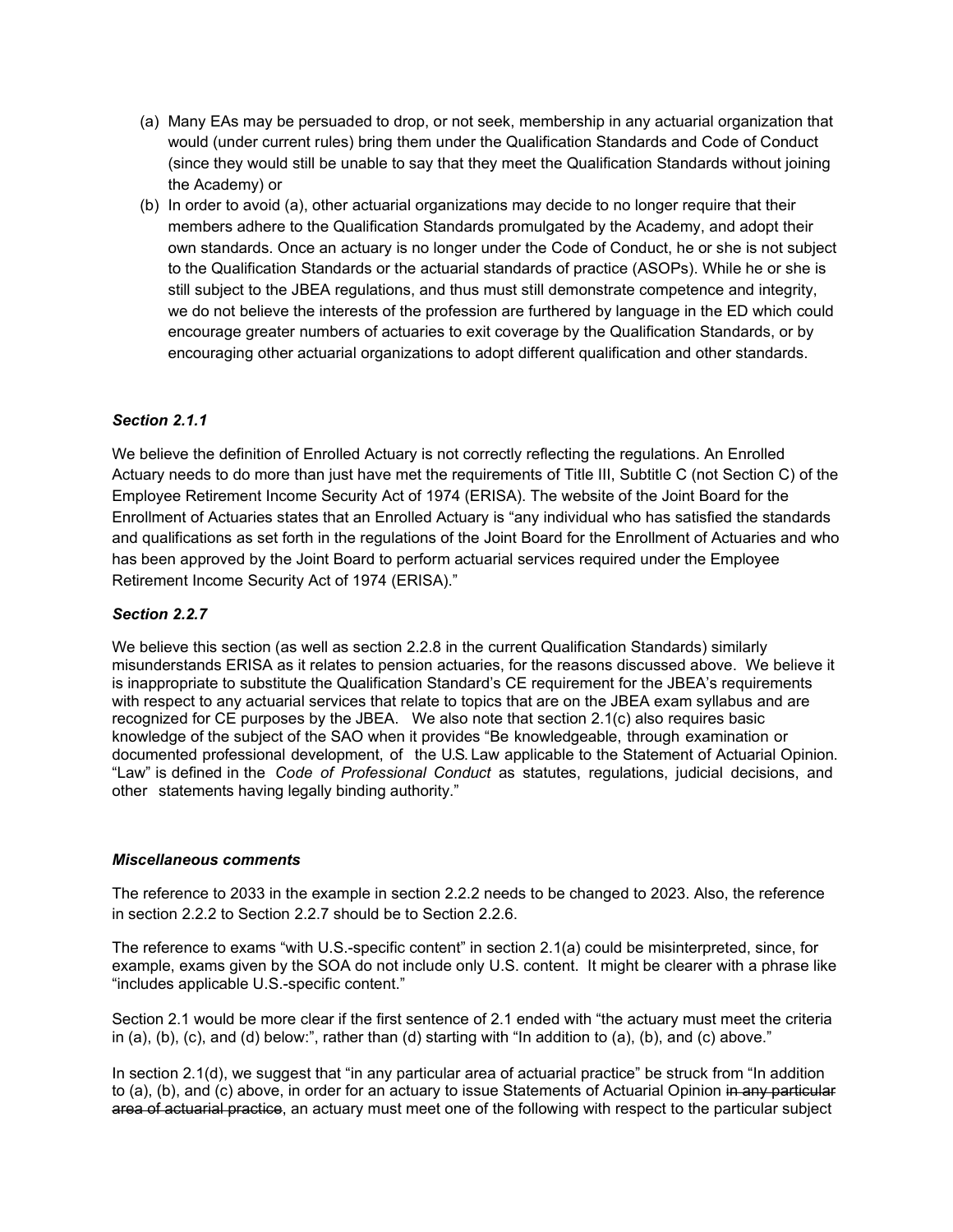- (a) Many EAs may be persuaded to drop, or not seek, membership in any actuarial organization that would (under current rules) bring them under the Qualification Standards and Code of Conduct (since they would still be unable to say that they meet the Qualification Standards without joining the Academy) or
- (b) In order to avoid (a), other actuarial organizations may decide to no longer require that their members adhere to the Qualification Standards promulgated by the Academy, and adopt their own standards. Once an actuary is no longer under the Code of Conduct, he or she is not subject to the Qualification Standards or the actuarial standards of practice (ASOPs). While he or she is still subject to the JBEA regulations, and thus must still demonstrate competence and integrity, we do not believe the interests of the profession are furthered by language in the ED which could encourage greater numbers of actuaries to exit coverage by the Qualification Standards, or by encouraging other actuarial organizations to adopt different qualification and other standards.

## *Section 2.1.1*

We believe the definition of Enrolled Actuary is not correctly reflecting the regulations. An Enrolled Actuary needs to do more than just have met the requirements of Title III, Subtitle C (not Section C) of the Employee Retirement Income Security Act of 1974 (ERISA). The website of the Joint Board for the Enrollment of Actuaries states that an Enrolled Actuary is "any individual who has satisfied the standards and qualifications as set forth in the regulations of the Joint Board for the Enrollment of Actuaries and who has been approved by the Joint Board to perform actuarial services required under the Employee Retirement Income Security Act of 1974 (ERISA)."

## *Section 2.2.7*

We believe this section (as well as section 2.2.8 in the current Qualification Standards) similarly misunderstands ERISA as it relates to pension actuaries, for the reasons discussed above. We believe it is inappropriate to substitute the Qualification Standard's CE requirement for the JBEA's requirements with respect to any actuarial services that relate to topics that are on the JBEA exam syllabus and are recognized for CE purposes by the JBEA. We also note that section 2.1(c) also requires basic knowledge of the subject of the SAO when it provides "Be knowledgeable, through examination or documented professional development, of the U.S. Law applicable to the Statement of Actuarial Opinion. "Law" is defined in the *Code of Professional Conduct* as statutes, regulations, judicial decisions, and other statements having legally binding authority."

#### *Miscellaneous comments*

The reference to 2033 in the example in section 2.2.2 needs to be changed to 2023. Also, the reference in section 2.2.2 to Section 2.2.7 should be to Section 2.2.6.

The reference to exams "with U.S.-specific content" in section 2.1(a) could be misinterpreted, since, for example, exams given by the SOA do not include only U.S. content. It might be clearer with a phrase like "includes applicable U.S.-specific content."

Section 2.1 would be more clear if the first sentence of 2.1 ended with "the actuary must meet the criteria in (a), (b), (c), and (d) below:", rather than (d) starting with "In addition to (a), (b), and (c) above."

In section 2.1(d), we suggest that "in any particular area of actuarial practice" be struck from "In addition to (a), (b), and (c) above, in order for an actuary to issue Statements of Actuarial Opinion in any particular area of actuarial practice, an actuary must meet one of the following with respect to the particular subject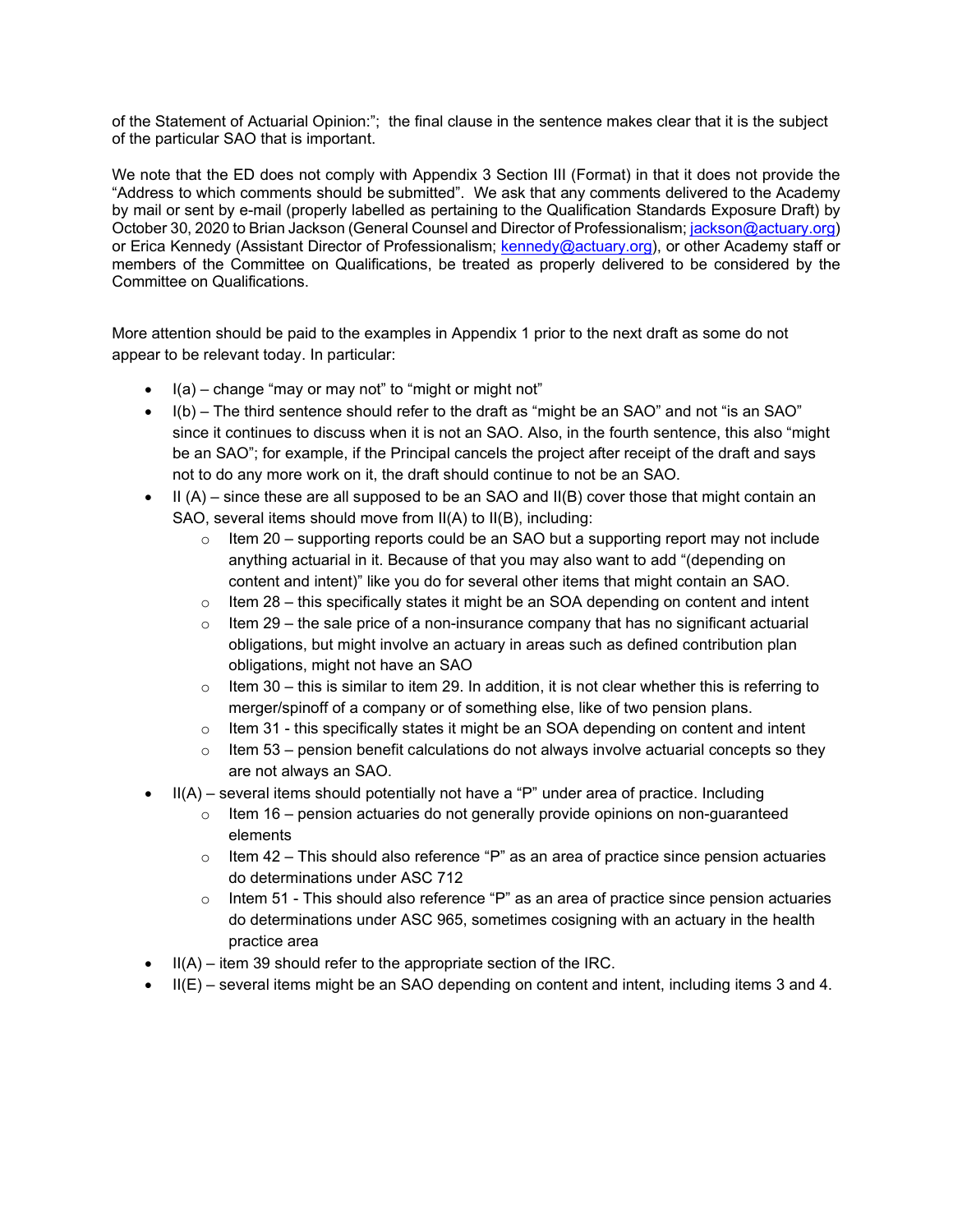of the Statement of Actuarial Opinion:"; the final clause in the sentence makes clear that it is the subject of the particular SAO that is important.

We note that the ED does not comply with Appendix 3 Section III (Format) in that it does not provide the "Address to which comments should be submitted". We ask that any comments delivered to the Academy by mail or sent by e-mail (properly labelled as pertaining to the Qualification Standards Exposure Draft) by October 30, 2020 to Brian Jackson (General Counsel and Director of Professionalism; jackson@actuary.org) or Erica Kennedy (Assistant Director of Professionalism; kennedy@actuary.org), or other Academy staff or members of the Committee on Qualifications, be treated as properly delivered to be considered by the Committee on Qualifications.

More attention should be paid to the examples in Appendix 1 prior to the next draft as some do not appear to be relevant today. In particular:

- I(a) change "may or may not" to "might or might not"
- I(b) The third sentence should refer to the draft as "might be an SAO" and not "is an SAO" since it continues to discuss when it is not an SAO. Also, in the fourth sentence, this also "might be an SAO"; for example, if the Principal cancels the project after receipt of the draft and says not to do any more work on it, the draft should continue to not be an SAO.
- $\bullet$  II (A) since these are all supposed to be an SAO and II(B) cover those that might contain an SAO, several items should move from II(A) to II(B), including:
	- o Item 20 supporting reports could be an SAO but a supporting report may not include anything actuarial in it. Because of that you may also want to add "(depending on content and intent)" like you do for several other items that might contain an SAO.
	- $\circ$  Item 28 this specifically states it might be an SOA depending on content and intent
	- $\circ$  Item 29 the sale price of a non-insurance company that has no significant actuarial obligations, but might involve an actuary in areas such as defined contribution plan obligations, might not have an SAO
	- $\circ$  Item 30 this is similar to item 29. In addition, it is not clear whether this is referring to merger/spinoff of a company or of something else, like of two pension plans.
	- $\circ$  Item 31 this specifically states it might be an SOA depending on content and intent
	- $\circ$  Item 53 pension benefit calculations do not always involve actuarial concepts so they are not always an SAO.
- II(A) several items should potentially not have a "P" under area of practice. Including
	- $\circ$  Item 16 pension actuaries do not generally provide opinions on non-guaranteed elements
	- $\circ$  Item 42 This should also reference "P" as an area of practice since pension actuaries do determinations under ASC 712
	- $\circ$  Intem 51 This should also reference "P" as an area of practice since pension actuaries do determinations under ASC 965, sometimes cosigning with an actuary in the health practice area
- $\bullet$  II(A) item 39 should refer to the appropriate section of the IRC.
- $\bullet$  II(E) several items might be an SAO depending on content and intent, including items 3 and 4.